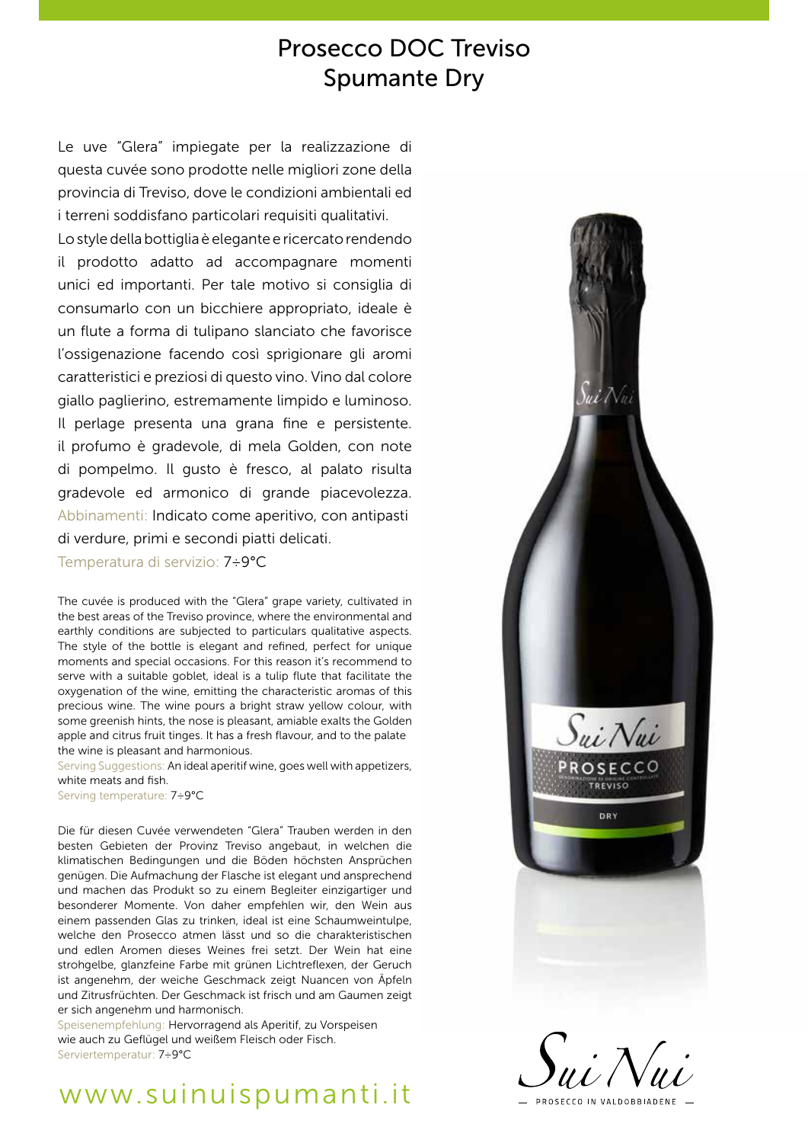# Prosecco DOC Treviso Spumante Dry

Le uve "Glera" impiegate per la realizzazione di questa cuvée sono prodotte nelle migliori zone della provincia di Treviso, dove le condizioni ambientali ed i terreni soddisfano particolari requisiti qualitativi.

Lo style della bottiglia è elegante e ricercato rendendo il prodotto adatto ad accompagnare momenti unici ed importanti. Per tale motivo si consiglia di consumarlo con un bicchiere appropriato, ideale è un flute a forma di tulipano slanciato che favorisce l'ossigenazione facendo così sprigionare gli aromi caratteristici e preziosi di questo vino. Vino dal colore giallo paglierino, estremamente limpido e luminoso. Il perlage presenta una grana fine e persistente. il profumo è gradevole, di mela Golden, con note di pompelmo. Il gusto è fresco, al palato risulta gradevole ed armonico di grande piacevolezza. Abbinamenti: Indicato come aperitivo, con antipasti di verdure, primi e secondi piatti delicati.

Temperatura di servizio: 7÷9°C

The cuvée is produced with the "Glera" grape variety, cultivated in the best areas of the Treviso province, where the environmental and earthly conditions are subjected to particulars qualitative aspects. The style of the bottle is elegant and refined, perfect for unique moments and special occasions. For this reason it's recommend to serve with a suitable goblet, ideal is a tulip flute that facilitate the oxygenation of the wine, emitting the characteristic aromas of this precious wine. The wine pours a bright straw yellow colour, with some greenish hints, the nose is pleasant, amiable exalts the Golden apple and citrus fruit tinges. It has a fresh flavour, and to the palate the wine is pleasant and harmonious.

Serving Suggestions: An ideal aperitif wine, goes well with appetizers, white meats and fish.

Serving temperature: 7÷9°C

Die für diesen Cuvée verwendeten "Glera" Trauben werden in den besten Gebieten der Provinz Treviso angebaut, in welchen die klimatischen Bedingungen und die Böden höchsten Ansprüchen genügen. Die Aufmachung der Flasche ist elegant und ansprechend und machen das Produkt so zu einem Begleiter einzigartiger und besonderer Momente. Von daher empfehlen wir, den Wein aus einem passenden Glas zu trinken, ideal ist eine Schaumweintulpe, welche den Prosecco atmen lässt und so die charakteristischen und edlen Aromen dieses Weines frei setzt. Der Wein hat eine strohgelbe, glanzfeine Farbe mit grünen Lichtreflexen, der Geruch ist angenehm, der weiche Geschmack zeigt Nuancen von Äpfeln und Zitrusfrüchten. Der Geschmack ist frisch und am Gaumen zeigt er sich angenehm und harmonisch.

Speisenempfehlung: Hervorragend als Aperitif, zu Vorspeisen wie auch zu Geflügel und weißem Fleisch oder Fisch. Serviertemperatur: 7÷9°C